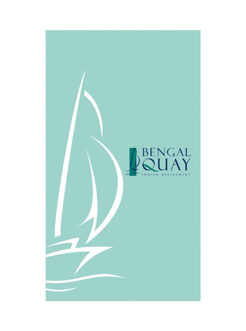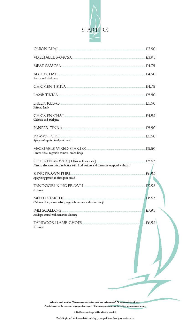

| ONION BHAJI.                                                                                                             | £3.50 |
|--------------------------------------------------------------------------------------------------------------------------|-------|
| VEGETABLE SAMOSA.                                                                                                        | £3.95 |
| MEAT SAMOSA                                                                                                              | £4.75 |
| ALOO CHAT.<br>Potato and chickpeas                                                                                       | £4.50 |
| CHICKEN TIKKA                                                                                                            | £4.75 |
| <b>LAMB TIKKA Example 2018</b>                                                                                           | £5.50 |
| <b>SHEEK KEBAB</b><br>Minced lamb                                                                                        | £5.50 |
| CHICKEN CHAT<br>Chicken and chickpeas                                                                                    | £4.95 |
| <b>PANEER TIKKA <i>PANEER TIKKA</i></b>                                                                                  | £5.50 |
| PRAWN PURL<br>Spicy shrimps in fried puri bread                                                                          | £5.50 |
| VEGETABLE MIXED STARTER<br>Paneer tikka, vegetable somosa, onion bhaji                                                   | £5.50 |
| CHICKEN MOMO (J.Ellison favourite).<br>Minced chicken cooked in butter with fresh onions and coriander wrapped with puri | £5.95 |
| KING PRAWN PURL<br>Spicy king prawn in fried puri bread                                                                  | £6,95 |
| TANDOORI KING PRAWN                                                                                                      | £9.95 |
| 3 pieces<br><b>MIXED STARTER</b>                                                                                         |       |
| Chicken tikka, sheek kebab, vegetable samosa and onion bhaji                                                             | £6.95 |
| <b>IMLI SCALLOPS</b><br>Scallops seared with tamarind chutney                                                            | £7.95 |
| TANDOORI LAMB CHOPS<br>2 pieces                                                                                          | £6.95 |
| All major cards accepted . Cheques accepted with a valid card endorsement . All prices inclusive of VAT                  |       |

Any dishes not on the menu can be prepared on request \* The management otherwas the night of admission and service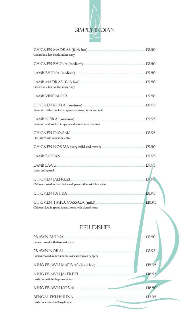

| CHICKEN MADRAS (fairly hot)<br>Cooked in a hot South Indian curry                        | £8.50  |
|------------------------------------------------------------------------------------------|--------|
| CHICKEN BHUNA (medium)                                                                   | £8.50  |
| LAMB BHUNA (medium).                                                                     | £9.50  |
| LAMB MADRAS (fairly hot).<br>Cooked in a hot South Indian curry                          | £9.50  |
| LAMB VINDALOO.                                                                           | £9.50  |
| CHICKEN KORAI (medium)<br>Pieces of chicken cooked in spices and tossed in an iron wok   | £8.95  |
| LAMB KORAI (medium).<br>Pieces of lamb cooked in spices and tossed in an iron wok        | £9.95  |
| <b>CHICKEN DANSAK</b><br>Hot, sweet, and sour with lentils                               | £8.95  |
|                                                                                          | £9.50  |
| LAMB ROGAN.                                                                              | £9.95  |
| <b>LAMB SAAG</b>                                                                         | £9.95  |
| Lamb and spinach                                                                         |        |
| CHICKEN JALFREZI                                                                         | £9.95  |
| Chicken cooked in fresh herbs and green chillies with hot spices                         |        |
| <b>CHICKEN PATHIA</b>                                                                    | £8.95  |
| CHICKEN TIKKA MASSALA (mild).<br>Chicken tikka in spiced tomato curry with clotted cream | £10.95 |
| <b>FISH DISHES</b>                                                                       |        |
| PRAWN BHUNA                                                                              | £8.50  |
| Prawn cooked with flavoured spices                                                       |        |
| PRAWN KORAI.                                                                             | £8.95  |
| Prawns cooked in medium hot sauce with green peppers                                     |        |
| KING PRAWN MADRAS (fairly hot)                                                           | £15.95 |
| KING PRAWN JALFREZI.                                                                     | £16.95 |
| Fairly hot with fresh green chillies.                                                    |        |
| <b>KING PRAWN KORAI</b>                                                                  | £16.50 |
| <b>BENGAL FISH BHUNA</b>                                                                 | £12.95 |
| Fairly hot cooked in Bengali style.                                                      |        |
|                                                                                          |        |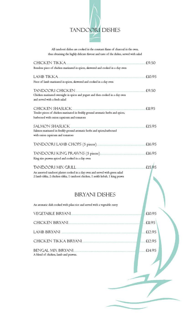

All tandoori dishes are cooked in the constant flame of charcoal in the oven, thus obtaining the highly delicate flavour and taste of the dishes, served with salad

| <b>CHICKEN TIKKA</b>                                                                                                                                             | £9.50         |
|------------------------------------------------------------------------------------------------------------------------------------------------------------------|---------------|
| Boneless piece of chicken marinated in spices, skewered and cooked in a day oven                                                                                 |               |
| <b>LAMB TIKKA</b>                                                                                                                                                | £10.95        |
| Piece of lamb marinated in spices, skewered and cooked in a clay oven                                                                                            |               |
|                                                                                                                                                                  |               |
| TANDOORI CHICKEN<br>Chicken marinated overnight in spices and yogurt and then cooked in a day oven                                                               | £9.50         |
| and served with a fresh salad                                                                                                                                    |               |
| CHICKEN SHASLICK                                                                                                                                                 | £11.95        |
| Tender pieces of chicken marinated in freshly ground aromatic herbs and spices,                                                                                  |               |
| barbecued with onion capsicum and tomatoes                                                                                                                       |               |
| <b>SALMON SHASLICK</b>                                                                                                                                           | £15.95        |
| Salmon marinated in freshly ground aromatic herbs and spices, barbecued                                                                                          |               |
| with onion capsicum and tomatoes                                                                                                                                 |               |
| TANDOORI LAMB CHOPS (5 pieces)                                                                                                                                   | £16.95        |
| TANDOORI KING PRAWNS (5 pieces).                                                                                                                                 | £16.95        |
| King size prawns spiced and cooked in a clay oven                                                                                                                |               |
| TANDOOR I MIX GRII I.                                                                                                                                            | £15.95        |
| An assorted tandoori platter cooked in a clay oven and served with green salad<br>2 lamb tikka, 2 chicken tikka, I tandoori chicken, I seekh kebab, I king prawn |               |
| <b>BIRYANI DISHES</b>                                                                                                                                            |               |
| An aromatic dish cooked with pilau rice and served with a vegetable curry                                                                                        |               |
| <b>VEGETABLE BIRYANI</b>                                                                                                                                         | £10.95        |
| <b>CHICKEN BIRYANL</b>                                                                                                                                           | <b>£11.95</b> |
| LAMB BIRYANI                                                                                                                                                     | £12.95        |
|                                                                                                                                                                  | £12.95        |
| CHICKEN TIKKA BIRYANI.                                                                                                                                           |               |
| BENGAL MIX BIRYANI.                                                                                                                                              | £14.95        |
| A blend of chicken, lamb and prawns.                                                                                                                             |               |
|                                                                                                                                                                  |               |
|                                                                                                                                                                  |               |
|                                                                                                                                                                  |               |
|                                                                                                                                                                  |               |
|                                                                                                                                                                  |               |
|                                                                                                                                                                  |               |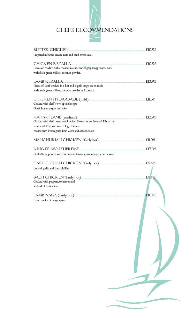

| <b>BUTTER CHICKEN</b>                                                  | £10.95 |
|------------------------------------------------------------------------|--------|
| Prepared in butter cream, nuts and mild sweet sauce                    |        |
| CHICKEN REZALLA                                                        | £10.95 |
| Pieces of chicken tikka cooked in a hot and slighly tangy sauce, made  |        |
| with fresh green chillies, coconut powder.                             |        |
|                                                                        |        |
| LAMB REZALLA                                                           | £12.95 |
| Pieces of lamb cooked in a hot and slighly tangy sauce, made           |        |
| with fresh green chillies, coconut powder and tomato.                  |        |
| CHICKEN HYDRABADE (mild).                                              | £11.50 |
| Cooked with chef's own special recipe                                  |        |
| Greek honey yogurt and mint                                            |        |
|                                                                        |        |
| KARAKI LAMB (medium).                                                  | £12.95 |
| Cooked with chef own special recipe. Flown out to Beverly Hills at the |        |
| request of Playboy owner Hugh Hefner                                   |        |
| cooked with lemon grass, lime leaves and shallot onion                 |        |
|                                                                        |        |
| MANCHURIAN CHICKEN (fairly hot)                                        | £11.95 |
|                                                                        |        |
| KING PRAWN SUPREME.                                                    | £17.95 |
| Grilled king prawns with onions and lemon grass in a spicy curry sauce |        |
|                                                                        |        |
| <b>GARLIC CHILLI CHICKEN (fairly hot).</b>                             | £9.95  |
| Lots of garlic and fresh chillies                                      |        |
| BALTI CHICKEN (fairly hot)                                             | £9.95  |
| Cooked with peppers, tomatoes and                                      |        |
| a blend of balti spices.                                               |        |
|                                                                        |        |
| LAMB NAGA (fairly hot)                                                 | £10.95 |
| Lamb cooked in naga spices                                             |        |
|                                                                        |        |
|                                                                        |        |
|                                                                        |        |
|                                                                        |        |
|                                                                        |        |
|                                                                        |        |
|                                                                        |        |
|                                                                        |        |
|                                                                        |        |
|                                                                        |        |
|                                                                        |        |
|                                                                        |        |
|                                                                        |        |
|                                                                        |        |
|                                                                        |        |
|                                                                        |        |
|                                                                        |        |
|                                                                        |        |
|                                                                        |        |
|                                                                        |        |
|                                                                        |        |
|                                                                        |        |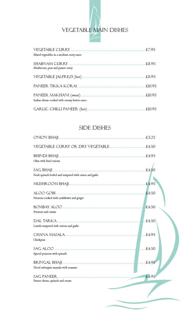

| <b>VEGETABLE CURRY</b>                                                                                                                     | £7.95  |
|--------------------------------------------------------------------------------------------------------------------------------------------|--------|
| Mixed vegetables in a medium curry sauce                                                                                                   |        |
| <b>SHABNAM CURRY</b><br>Mushroom, peas and paneer curry                                                                                    | £8.95  |
| VEGETABLE JALFREZI (hot)<br>TA E PARA DI MARCA MARCA A CON ESTA CON PRODUCCIÓN DE CONSTITUITO DE CONSTITUITO DE CONSTITUITO DE CONSTITUITO | £8.95  |
| PANFFR TIKKA KORAI                                                                                                                         | £10.95 |
| PANEER MAKHANI (sweet)<br>Indian cheese cooked with creamy butter sauce                                                                    | £10.95 |
| <b>GARLIC CHILLI PANEER (hot)</b>                                                                                                          | £10.95 |

## **SIDE DISHES**

| ONION BHAJI                                                   | £3.25 |
|---------------------------------------------------------------|-------|
| VEGETABLE CURRY OR DRY VEGETABLE                              | £4.50 |
| <b>BHINDI BHAJI</b>                                           | £4.95 |
| Okra with fried onions                                        |       |
| <b>SAG BHAJI</b>                                              | f4.50 |
| Fresh spinach boiled and tempered with onion and garlic       |       |
| MUSHROOM BHAJI                                                | £4.95 |
| ALOO GOBI                                                     | £4.50 |
| Potatoes cooked with cauliflower and ginger                   |       |
| <b>BOMBAY ALOO</b>                                            | £4.50 |
| Potatoes and cumin                                            |       |
| <b>DAL TARKA</b>                                              | £4.50 |
| Lentils tempered with onions and garlic                       |       |
| CHANA MASALA                                                  | £4.95 |
| Chickpeas                                                     |       |
| SAG ALOO                                                      | £4.50 |
| Spiced potatoes with spinach                                  |       |
| <b>BRINGAL BHAJI</b>                                          | £4.95 |
| Diced aubergine massala with seasame                          |       |
| <b>SAC PANFFR</b><br>AND HIS TELEVISION IN A BIOTECH AND WALL | £4.95 |
| Paneer cheese, spinach and cream                              |       |
|                                                               |       |
|                                                               |       |
|                                                               |       |
|                                                               |       |
|                                                               |       |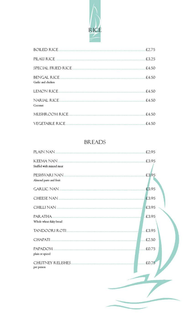

| <b>BOILED RICE</b>                       | £2.75 |
|------------------------------------------|-------|
| PILAU RICE                               | £3.25 |
| SPECIAL FRIED RICE.                      | £4.50 |
| <b>BENGAL RICE</b><br>Garlie and chicken | £4.50 |
| <b>LEMON RICE</b>                        | £4.50 |
| <b>NARIAL RICE</b><br>Coconut            | £4.50 |
| MUSHROOM RICE                            | £4.50 |
| <b>VEGETABLE RICE</b>                    | £4.50 |

## **BREADS**

| <b>PLAIN NAN</b>                                                                                                                         | £2.95 |
|------------------------------------------------------------------------------------------------------------------------------------------|-------|
| <b>KFFMA NAN</b>                                                                                                                         | £3.95 |
| Stuffed with minced meat                                                                                                                 |       |
| PESHWARI NAN.                                                                                                                            | £3,95 |
| Almond paste and fruit                                                                                                                   |       |
| <b>GARLIC NAN</b><br><b>THE R. P. LEWIS CO., LANSING MICH.</b>                                                                           | £3.95 |
| <b>CHEESE NAN</b><br>.<br>All la provincia del contenente del contenente del contenente del contenente del contenente del contenente del | £3.95 |
| CHILLI NAN<br>the contract to a program and discrimination of the contract of the contract of the contract of the contract of            | £3.95 |
| PARATHA.<br>.<br>2003. – Antonio Mario III (1985. – 1986. – 1986. – 1986. – 1986. – 1986. – 1986. – 1986. – 1986. – 1986. – 19           | £3.95 |
| Whole wheat flaky bread                                                                                                                  |       |
| TANDOORI ROTI                                                                                                                            | £3,95 |
| <b>CHAPATI</b>                                                                                                                           | £2.50 |
| PAPADOM<br>.<br>2000 - Antonio Maria de Santo e especial y provincia de composição de composição de concelhos e estados de com           | £0.75 |
| plain or spiced                                                                                                                          |       |
| <b>CHUTNEY RELISHES</b><br>per person                                                                                                    | £0.75 |
|                                                                                                                                          |       |
|                                                                                                                                          |       |
|                                                                                                                                          |       |
|                                                                                                                                          |       |
|                                                                                                                                          |       |
|                                                                                                                                          |       |